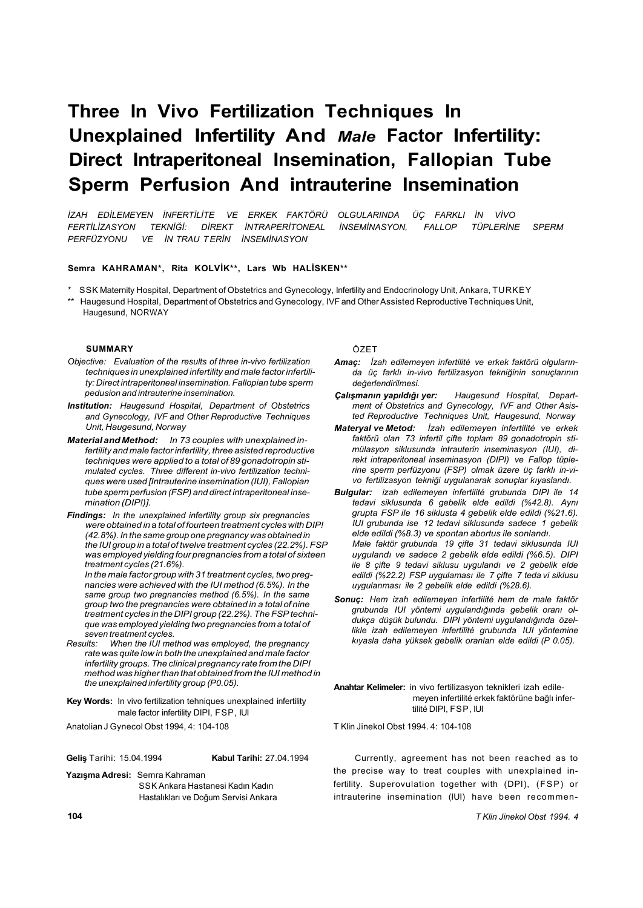# **Three In Vivo Fertilization Techniques In Unexplained Infertility And** *Male* **Factor Infertility: Direct Intraperitoneal Insemination, Fallopian Tube Sperm Perfusion And intrauterine Insemination**

*İZAH EDİLEMEYEN İNFERTİLİTE VE ERKEK FAKTÖRÜ OLGULARINDA ÜÇ FARKLI İN VİVO FERTİLİZASYON TEKNİĞİ: DİREKT İNTRAPERİTONEAL İNSEMİNASYON, FALLOP TÜPLERİNE SPERM PERFÜZYONU VE İN TRAU T ERİN İNSEMİNASYON* 

#### **Semra KAHRAMAN\*, Rita KOLVİK\*\*, Lars Wb HALİSKEN\*\***

- SSK Maternity Hospital, Department of Obstetrics and Gynecology, Infertility and Endocrinology Unit, Ankara, TURKEY
- \*\* Haugesund Hospital, Department of Obstetrics and Gynecology, IVF and Other Assisted Reproductive Techniques Unit, Haugesund, NORWAY

#### **SUMMARY**

- *Objective: Evaluation of the results of three in-vivo fertilization techniques in unexplained infertility and male factor infertility: Direct intraperitoneal insemination. Fallopian tube sperm pedusion and intrauterine insemination.*
- *Institution: Haugesund Hospital, Department of Obstetrics and Gynecology, IVF and Other Reproductive Techniques Unit, Haugesund, Norway*
- *Material and Method: In 73 couples with unexplained infertility and male factor infertility, three asisted reproductive techniques were applied to a total of 89 gonadotropin stimulated cycles. Three different in-vivo fertilization techniques were used [Intrauterine insemination (IUI), Fallopian tube sperm perfusion (FSP) and direct intraperitoneal insemination (DIP!)].*
- *Findings: In the unexplained infertility group six pregnancies were obtained in* a *total of fourteen treatment cycles with DIP! (42.8%). In the same group one pregnancy was obtained in the IUI group in a total of twelve treatment cycles (22.2%). FSP was employed yielding four pregnancies from a total of sixteen treatment cycles (21.6%).*

*In the male factor group with 31 treatment cycles, two pregnancies were achieved with the IUI method (6.5%). In the same group two pregnancies method (6.5%). In the same group two the pregnancies were obtained in a total of nine treatment cycles in the DIPI group (22.2%). The FSP technique was employed yielding two pregnancies from a total of* 

- *seven treatment cycles. When the IUI method was employed, the pregnancy rate was quite low in both the unexplained and male factor infertility groups. The clinical pregnancy rate from the DIPI method was higher than that obtained from the IUI method in the unexplained infertility group (P0.05).*
- **Key Words:** In vivo fertilization tehniques unexplained infertility male factor infertility DIPI, FSP, IUI

Anatolian J Gynecol Obst 1994, 4: 104-108

**Geliş** Tarihi: 15.04.1994 **Kabul Tarihi:** 27.04.1994

**Yazışma Adresi:** Semra Kahraman SSK Ankara Hastanesi Kadın Kadın Hastalıkları ve Doğum Servisi Ankara ÖZET

- *Amaç: İzah edilemeyen infertilité ve erkek faktörü olgularında üç farklı in-vivo fertilizasyon tekniğinin sonuçlarının değerlendirilmesi.*
- *Çalışmanın yapıldığı yer: Haugesund Hospital, Department of Obstetrics and Gynecology, IVF and Other Asisted Reproductive Techniques Unit, Haugesund, Norway*
- *Materyal ve Metod: İzah edilemeyen infertilité ve erkek faktörü olan 73 infertil çifte toplam 89 gonadotropin stimülasyon siklusunda intrauterin inseminasyon (IUI), direkt intraperitoneal inseminasyon (DIPI) ve Fallop tüplerine sperm perfüzyonu (FSP) olmak üzere üç farklı in-vivo fertilizasyon tekniği uygulanarak sonuçlar kıyaslandı.*
- *Bulgular: izah edilemeyen infertilité grubunda DIPI ile 14 tedavi siklusunda 6 gebelik elde edildi (%42.8). Aynı grupta FSP ile 16 siklusta 4 gebelik elde edildi (%21.6). IUI grubunda ise 12 tedavi siklusunda sadece 1 gebelik elde edildi (%8.3) ve spontan abortus ile sonlandı. Male faktör grubunda 19 çifte 31 tedavi siklusunda IUI uygulandı ve sadece 2 gebelik elde edildi (%6.5). DIPI ile 8 çifte 9 tedavi siklusu uygulandı ve 2 gebelik elde edildi (%22.2) FSP uygulaması ile 7 çifte 7 teda vi siklusu uygulanması ile 2 gebelik elde edildi (%28.6).*
- *Sonuç: Hem izah edilemeyen infertilité hem de male faktör grubunda IUI yöntemi uygulandığında gebelik oranı oldukça düşük bulundu. DIPI yöntemi uygulandığında özellikle izah edilemeyen infertilité grubunda IUI yöntemine kıyasla daha yüksek gebelik oranları elde edildi (P 0.05).*

**Anahtar Kelimeler:** in vivo fertilizasyon teknikleri izah edilemeyen infertilité erkek faktörüne bağlı infertilité DIPI, FSP, IUI

T Klin Jinekol Obst 1994. 4: 104-108

Currently, agreement has not been reached as to the precise way to treat couples with unexplained infertility. Superovulation together with (DPI), (FSP) or intrauterine insemination (IUI) have been recommen-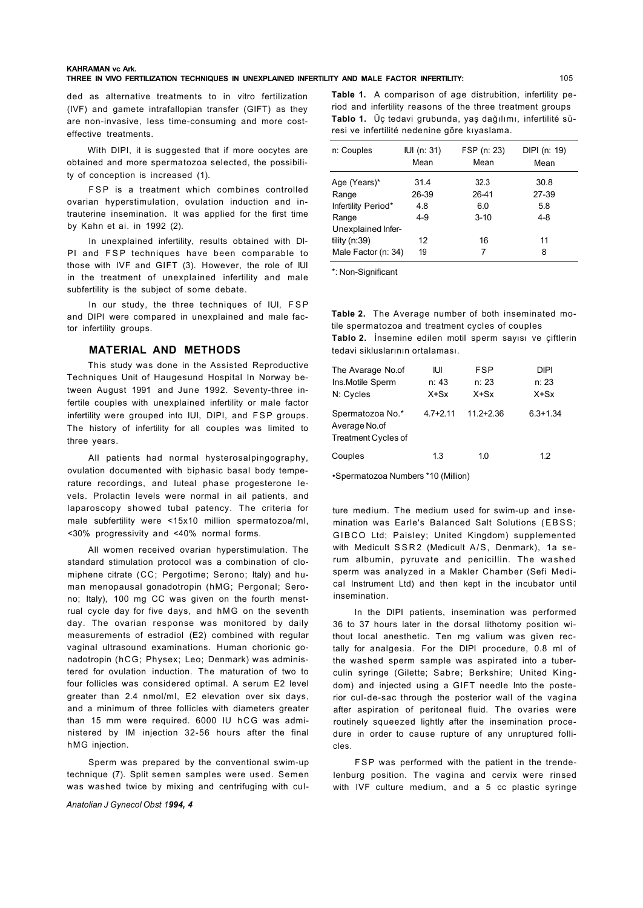#### **KAHRAMAN vc Ark.**

**THREE IN VIVO FERTILIZATION TECHNIQUES IN UNEXPLAINED INFERTILITY AND MALE FACTOR INFERTILITY:** 

ded as alternative treatments to in vitro fertilization (IVF) and gamete intrafallopian transfer (GIFT) as they are non-invasive, less time-consuming and more costeffective treatments.

With DIPI, it is suggested that if more oocytes are obtained and more spermatozoa selected, the possibility of conception is increased (1).

FSP is a treatment which combines controlled ovarian hyperstimulation, ovulation induction and intrauterine insemination. It was applied for the first time by Kahn et ai. in 1992 (2).

In unexplained infertility, results obtained with DI-PI and FSP techniques have been comparable to those with IVF and GIFT (3). However, the role of IUI in the treatment of unexplained infertility and male subfertility is the subject of some debate.

In our study, the three techniques of IUI, FSP and DIPI were compared in unexplained and male factor infertility groups.

#### **MATERIAL AND METHODS**

This study was done in the Assisted Reproductive Techniques Unit of Haugesund Hospital In Norway between August 1991 and June 1992. Seventy-three infertile couples with unexplained infertility or male factor infertility were grouped into IUI, DIPI, and FSP groups. The history of infertility for all couples was limited to three years.

All patients had normal hysterosalpingography, ovulation documented with biphasic basal body temperature recordings, and luteal phase progesterone levels. Prolactin levels were normal in ail patients, and laparoscopy showed tubal patency. The criteria for male subfertility were <15x10 million spermatozoa/ml, <30% progressivity and <40% normal forms.

All women received ovarian hyperstimulation. The standard stimulation protocol was a combination of clomiphene citrate (CC; Pergotime; Serono; Italy) and human menopausal gonadotropin (hMG; Pergonal; Serono; Italy), 100 mg CC was given on the fourth menstrual cycle day for five days, and hMG on the seventh day. The ovarian response was monitored by daily measurements of estradiol (E2) combined with regular vaginal ultrasound examinations. Human chorionic gonadotropin (hCG; Physex; Leo; Denmark) was administered for ovulation induction. The maturation of two to four follicles was considered optimal. A serum E2 level greater than 2.4 nmol/ml, E2 elevation over six days, and a minimum of three follicles with diameters greater than 15 mm were required. 6000 IU hCG was administered by IM injection 32-56 hours after the final hMG injection.

Sperm was prepared by the conventional swim-up technique (7). Split semen samples were used. Semen was washed twice by mixing and centrifuging with cul-

*Anatolian J Gynecol Obst 1994, 4* 

**Table 1.** A comparison of age distrubition, infertility period and infertility reasons of the three treatment groups **Tablo 1.** Üç tedavi grubunda, yaş dağılımı, infertilité süresi ve infertilité nedenine göre kıyaslama.

| n: Couples          | IUI (n: 31)<br>Mean | FSP (n: 23)<br>Mean | DIPI (n: 19)<br>Mean |
|---------------------|---------------------|---------------------|----------------------|
| Age (Years)*        | 31.4                | 32.3                | 30.8                 |
| Range               | 26-39               | 26-41               | 27-39                |
| Infertility Period* | 4.8                 | 6.0                 | 5.8                  |
| Range               | $4 - 9$             | $3 - 10$            | $4 - 8$              |
| Unexplained Infer-  |                     |                     |                      |
| tility $(n:39)$     | 12                  | 16                  | 11                   |
| Male Factor (n: 34) | 19                  | 7                   | 8                    |

\*: Non-Significant

**Table 2.** The Average number of both inseminated motile spermatozoa and treatment cycles of couples **Tablo 2.** İnsemine edilen motil sperm sayısı ve çiftlerin tedavi sikluslarının ortalaması.

| The Avarage No.of<br>Ins.Motile Sperm<br>N: Cycles              | IUI<br>n: 43<br>$X+Sx$ | <b>FSP</b><br>n: 23<br>$X+Sx$ | DIPI<br>n: 23<br>$X+Sx$ |
|-----------------------------------------------------------------|------------------------|-------------------------------|-------------------------|
| Spermatozoa No.*<br>Average No.of<br><b>Treatment Cycles of</b> | $4.7 + 2.11$           | $11.2 + 2.36$                 | $6.3 + 1.34$            |
| Couples                                                         | 1.3                    | 1.0                           | 1.2                     |

•Spermatozoa Numbers \*10 (Million)

ture medium. The medium used for swim-up and insemination was Earle's Balanced Salt Solutions (EBSS; GIBCO Ltd; Paisley; United Kingdom) supplemented with Medicult SSR2 (Medicult A/S, Denmark), 1a serum albumin, pyruvate and penicillin. The washed sperm was analyzed in a Makler Chamber (Sefi Medical Instrument Ltd) and then kept in the incubator until insemination.

In the DIPI patients, insemination was performed 36 to 37 hours later in the dorsal lithotomy position without local anesthetic. Ten mg valium was given rectally for analgesia. For the DIPI procedure, 0.8 ml of the washed sperm sample was aspirated into a tuberculin syringe (Gilette; Sabre; Berkshire; United Kingdom) and injected using a GIFT needle Into the posterior cul-de-sac through the posterior wall of the vagina after aspiration of peritoneal fluid. The ovaries were routinely squeezed lightly after the insemination procedure in order to cause rupture of any unruptured follicles.

FSP was performed with the patient in the trendelenburg position. The vagina and cervix were rinsed with IVF culture medium, and a 5 cc plastic syringe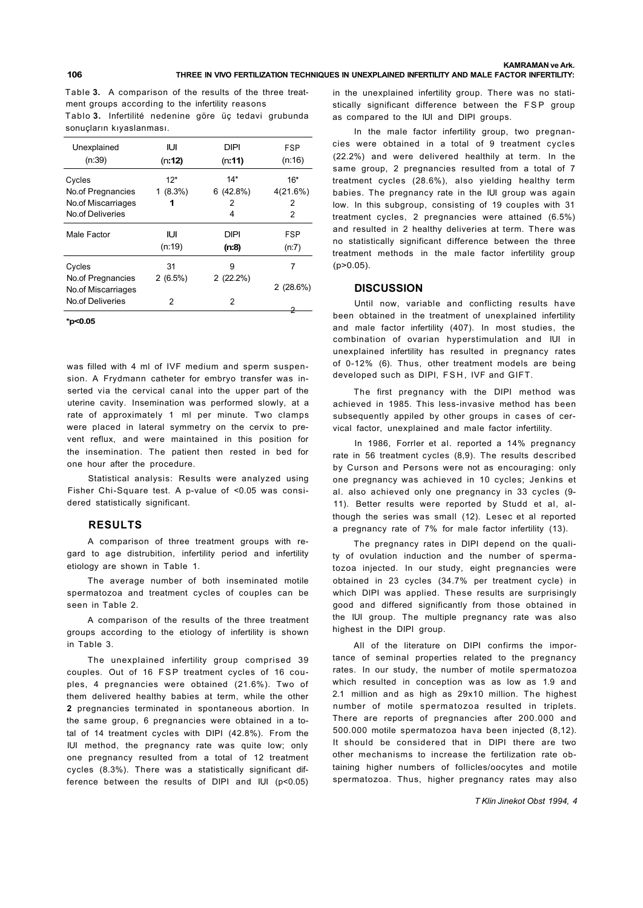Table **3.** A comparison of the results of the three treatment groups according to the infertility reasons Tablo **3.** Infertilité nedenine göre üç tedavi grubunda sonuçların kıyaslanması.

| Unexplained<br>(n:39) | IUІ<br>(n:12) | DIPI<br>(n:11) | FSP<br>(n:16) |
|-----------------------|---------------|----------------|---------------|
| Cycles                | $12*$         | $14*$          | $16*$         |
| No of Pregnancies     | $1(8.3\%)$    | 6(42.8%)       | 4(21.6%)      |
| No of Miscarriages    | 1             | 2              | 2             |
| No.of Deliveries      |               | 4              | 2             |
| Male Factor           | IUІ           | DIPI           | FSP           |
|                       | (n:19)        | (n:8)          | (n:7)         |
| Cycles                | 31            | 9              | 7             |
| No.of Pregnancies     | $2(6.5\%)$    | 2(22.2%)       |               |
| No of Miscarriages    |               |                | $2(28.6\%)$   |
| No.of Deliveries      | 2             | 2              |               |
|                       |               |                |               |

**\*p<0.05** 

was filled with 4 ml of IVF medium and sperm suspension. A Frydmann catheter for embryo transfer was inserted via the cervical canal into the upper part of the uterine cavity. Insemination was performed slowly, at a rate of approximately 1 ml per minute. Two clamps were placed in lateral symmetry on the cervix to prevent reflux, and were maintained in this position for the insemination. The patient then rested in bed for one hour after the procedure.

Statistical analysis: Results were analyzed using Fisher Chi-Square test. A p-value of <0.05 was considered statistically significant.

# **RESULTS**

A comparison of three treatment groups with regard to age distrubition, infertility period and infertility etiology are shown in Table 1.

The average number of both inseminated motile spermatozoa and treatment cycles of couples can be seen in Table 2.

A comparison of the results of the three treatment groups according to the etiology of infertility is shown in Table 3.

The unexplained infertility group comprised 39 couples. Out of 16 FSP treatment cycles of 16 couples, 4 pregnancies were obtained (21.6%). Two of them delivered healthy babies at term, while the other **2** pregnancies terminated in spontaneous abortion. In the same group, 6 pregnancies were obtained in a total of 14 treatment cycles with DIPI (42.8%). From the IUI method, the pregnancy rate was quite low; only one pregnancy resulted from a total of 12 treatment cycles (8.3%). There was a statistically significant difference between the results of DIPI and IUI (p<0.05)

in the unexplained infertility group. There was no statistically significant difference between the FSP group as compared to the IUI and DIPI groups.

In the male factor infertility group, two pregnancies were obtained in a total of 9 treatment cycles (22.2%) and were delivered healthily at term. In the same group, 2 pregnancies resulted from a total of 7 treatment cycles (28.6%), also yielding healthy term babies. The pregnancy rate in the IUI group was again low. In this subgroup, consisting of 19 couples with 31 treatment cycles, 2 pregnancies were attained (6.5%) and resulted in 2 healthy deliveries at term. There was no statistically significant difference between the three treatment methods in the male factor infertility group (p>0.05).

# **DISCUSSION**

Until now, variable and conflicting results have been obtained in the treatment of unexplained infertility and male factor infertility (407). In most studies, the combination of ovarian hyperstimulation and IUI in unexplained infertility has resulted in pregnancy rates of 0-12% (6). Thus, other treatment models are being developed such as DIPI, FSH, IVF and GIFT.

The first pregnancy with the DIPI method was achieved in 1985. This less-invasive method has been subsequently appiled by other groups in cases of cervical factor, unexplained and male factor infertility.

In 1986, Forrler et al. reported a 14% pregnancy rate in 56 treatment cycles (8,9). The results described by Curson and Persons were not as encouraging: only one pregnancy was achieved in 10 cycles; Jenkins et al. also achieved only one pregnancy in 33 cycles (9- 11). Better results were reported by Studd et al, although the series was small (12). Lesec et al reported a pregnancy rate of 7% for male factor infertility (13).

The pregnancy rates in DIPI depend on the quality of ovulation induction and the number of spermatozoa injected. In our study, eight pregnancies were obtained in 23 cycles (34.7% per treatment cycle) in which DIPI was applied. These results are surprisingly good and differed significantly from those obtained in the IUI group. The multiple pregnancy rate was also highest in the DIPI group.

All of the literature on DIPI confirms the importance of seminal properties related to the pregnancy rates. In our study, the number of motile spermatozoa which resulted in conception was as low as 1.9 and 2.1 million and as high as 29x10 million. The highest number of motile spermatozoa resulted in triplets. There are reports of pregnancies after 200.000 and 500.000 motile spermatozoa hava been injected (8,12). It should be considered that in DIPI there are two other mechanisms to increase the fertilization rate obtaining higher numbers of follicles/oocytes and motile spermatozoa. Thus, higher pregnancy rates may also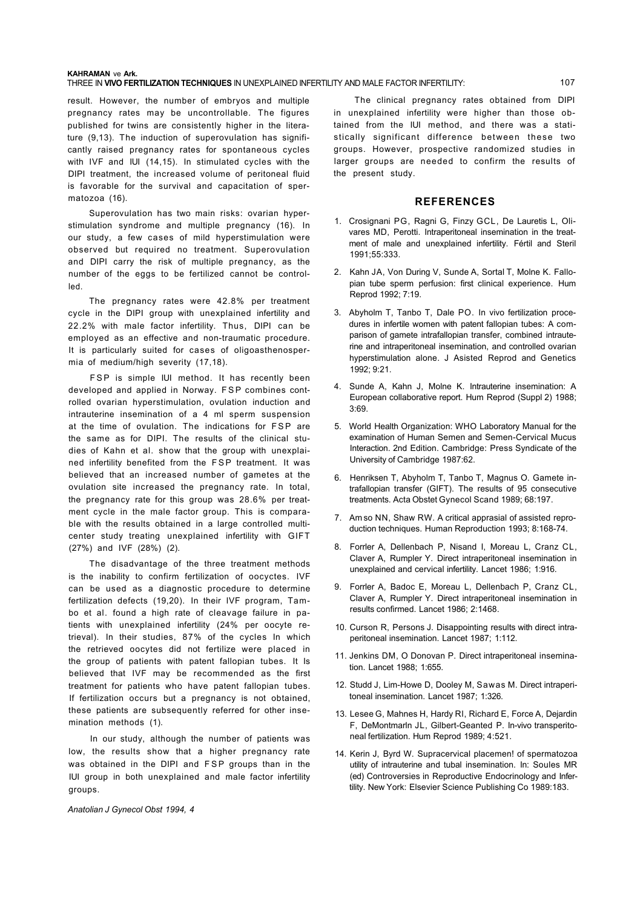#### **KAHRAMAN** ve **Ark.**  THREE IN **VIVO FERTILIZATION TECHNIQUES** IN UNEXPLAINED INFERTILITY AND MALE FACTOR INFERTILITY: 107

result. However, the number of embryos and multiple pregnancy rates may be uncontrollable. The figures published for twins are consistently higher in the literature (9,13). The induction of superovulation has significantly raised pregnancy rates for spontaneous cycles with IVF and IUI (14,15). In stimulated cycles with the DIPI treatment, the increased volume of peritoneal fluid is favorable for the survival and capacitation of spermatozoa (16).

Superovulation has two main risks: ovarian hyperstimulation syndrome and multiple pregnancy (16). In our study, a few cases of mild hyperstimulation were observed but required no treatment. Superovulation and DIPI carry the risk of multiple pregnancy, as the number of the eggs to be fertilized cannot be controlled.

The pregnancy rates were 42.8% per treatment cycle in the DIPI group with unexplained infertility and 22.2% with male factor infertility. Thus, DIPI can be employed as an effective and non-traumatic procedure. It is particularly suited for cases of oligoasthenospermia of medium/high severity (17,18).

FSP is simple IUI method. It has recently been developed and applied in Norway. FSP combines controlled ovarian hyperstimulation, ovulation induction and intrauterine insemination of a 4 ml sperm suspension at the time of ovulation. The indications for FSP are the same as for DIPI. The results of the clinical studies of Kahn et al. show that the group with unexplained infertility benefited from the FSP treatment. It was believed that an increased number of gametes at the ovulation site increased the pregnancy rate. In total, the pregnancy rate for this group was 28.6% per treatment cycle in the male factor group. This is comparable with the results obtained in a large controlled multicenter study treating unexplained infertility with GIFT (27%) and IVF (28%) (2).

The disadvantage of the three treatment methods is the inability to confirm fertilization of oocyctes. IVF can be used as a diagnostic procedure to determine fertilization defects (19,20). In their IVF program, Tambo et al. found a high rate of cleavage failure in patients with unexplained infertility (24% per oocyte retrieval). In their studies, 87% of the cycles In which the retrieved oocytes did not fertilize were placed in the group of patients with patent fallopian tubes. It Is believed that IVF may be recommended as the first treatment for patients who have patent fallopian tubes. If fertilization occurs but a pregnancy is not obtained, these patients are subsequently referred for other insemination methods (1).

In our study, although the number of patients was low, the results show that a higher pregnancy rate was obtained in the DIPI and FSP groups than in the IUI group in both unexplained and male factor infertility groups.

*Anatolian J Gynecol Obst 1994, 4* 

The clinical pregnancy rates obtained from DIPI in unexplained infertility were higher than those obtained from the IUI method, and there was a statistically significant difference between these two groups. However, prospective randomized studies in larger groups are needed to confirm the results of the present study.

# **REFERENCES**

- 1. Crosignani PG, Ragni G, Finzy GCL, De Lauretis L, Olivares MD, Perotti. Intraperitoneal insemination in the treatment of male and unexplained infertility. Fértil and Steril 1991;55:333.
- 2. Kahn JA, Von During V, Sunde A, Sortal T, Molne K. Fallopian tube sperm perfusion: first clinical experience. Hum Reprod 1992; 7:19.
- 3. Abyholm T, Tanbo T, Dale PO. In vivo fertilization procedures in infertile women with patent fallopian tubes: A comparison of gamete intrafallopian transfer, combined intrauterine and intraperitoneal insemination, and controlled ovarian hyperstimulation alone. J Asisted Reprod and Genetics 1992; 9:21.
- 4. Sunde A, Kahn J, Molne K. Intrauterine insemination: A European collaborative report. Hum Reprod (Suppl 2) 1988; 3:69.
- 5. World Health Organization: WHO Laboratory Manual for the examination of Human Semen and Semen-Cervical Mucus Interaction. 2nd Edition. Cambridge: Press Syndicate of the University of Cambridge 1987:62.
- 6. Henriksen T, Abyholm T, Tanbo T, Magnus O. Gamete intrafallopian transfer (GIFT). The results of 95 consecutive treatments. Acta Obstet Gynecol Scand 1989; 68:197.
- 7. Am so NN, Shaw RW. A critical apprasial of assisted reproduction techniques. Human Reproduction 1993; 8:168-74.
- 8. Forrler A, Dellenbach P, Nisand I, Moreau L, Cranz CL, Claver A, Rumpler Y. Direct intraperitoneal insemination in unexplained and cervical infertility. Lancet 1986; 1:916.
- 9. Forrler A, Badoc E, Moreau L, Dellenbach P, Cranz CL, Claver A, Rumpler Y. Direct intraperitoneal insemination in results confirmed. Lancet 1986; 2:1468.
- 10. Curson R, Persons J. Disappointing results with direct intraperitoneal insemination. Lancet 1987; 1:112.
- 11. Jenkins DM, O Donovan P. Direct intraperitoneal insemination. Lancet 1988; 1:655.
- 12. Studd J, Lim-Howe D, Dooley M, Sawas M. Direct intraperitoneal insemination. Lancet 1987; 1:326.
- 13. Lesee G, Mahnes H, Hardy Rl, Richard E, Force A, Dejardin F, DeMontmarln JL, Gilbert-Geanted P. In-vivo transperitoneal fertilization. Hum Reprod 1989; 4:521.
- 14. Kerin J, Byrd W. Supracervical placemen! of spermatozoa utility of intrauterine and tubal insemination. In: Soules MR (ed) Controversies in Reproductive Endocrinology and Infertility. New York: Elsevier Science Publishing Co 1989:183.